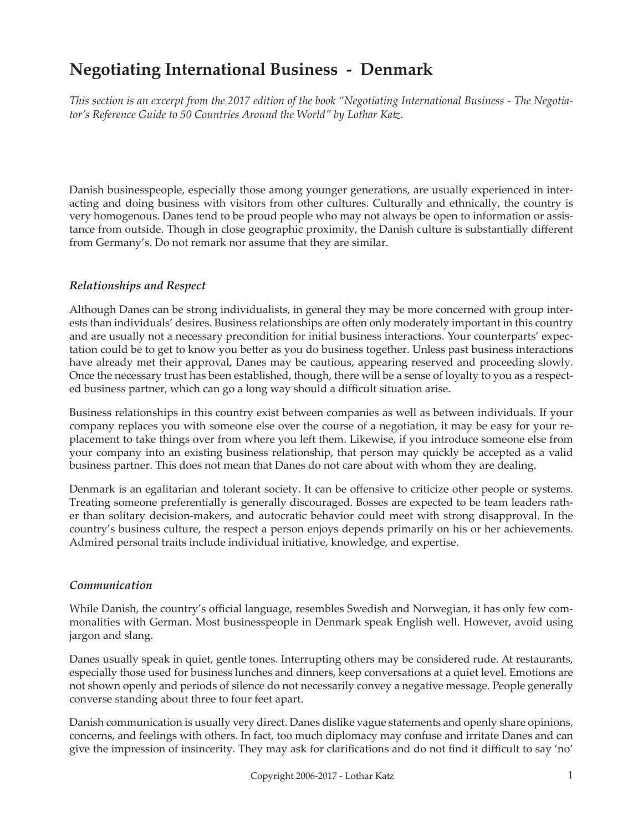# **Negotiating International Business - Denmark**

*This section is an excerpt from the 2017 edition of the book "Negotiating International Business - The Negotiator's Reference Guide to 50 Countries Around the World" by Lothar Katz.*

Danish businesspeople, especially those among younger generations, are usually experienced in interacting and doing business with visitors from other cultures. Culturally and ethnically, the country is very homogenous. Danes tend to be proud people who may not always be open to information or assistance from outside. Though in close geographic proximity, the Danish culture is substantially different from Germany's. Do not remark nor assume that they are similar.

## *Relationships and Respect*

Although Danes can be strong individualists, in general they may be more concerned with group interests than individuals' desires. Business relationships are often only moderately important in this country and are usually not a necessary precondition for initial business interactions. Your counterparts' expectation could be to get to know you better as you do business together. Unless past business interactions have already met their approval, Danes may be cautious, appearing reserved and proceeding slowly. Once the necessary trust has been established, though, there will be a sense of loyalty to you as a respected business partner, which can go a long way should a difficult situation arise.

Business relationships in this country exist between companies as well as between individuals. If your company replaces you with someone else over the course of a negotiation, it may be easy for your replacement to take things over from where you left them. Likewise, if you introduce someone else from your company into an existing business relationship, that person may quickly be accepted as a valid business partner. This does not mean that Danes do not care about with whom they are dealing.

Denmark is an egalitarian and tolerant society. It can be offensive to criticize other people or systems. Treating someone preferentially is generally discouraged. Bosses are expected to be team leaders rather than solitary decision-makers, and autocratic behavior could meet with strong disapproval. In the country's business culture, the respect a person enjoys depends primarily on his or her achievements. Admired personal traits include individual initiative, knowledge, and expertise.

## *Communication*

While Danish, the country's official language, resembles Swedish and Norwegian, it has only few commonalities with German. Most businesspeople in Denmark speak English well. However, avoid using jargon and slang.

Danes usually speak in quiet, gentle tones. Interrupting others may be considered rude. At restaurants, especially those used for business lunches and dinners, keep conversations at a quiet level. Emotions are not shown openly and periods of silence do not necessarily convey a negative message. People generally converse standing about three to four feet apart.

Danish communication is usually very direct. Danes dislike vague statements and openly share opinions, concerns, and feelings with others. In fact, too much diplomacy may confuse and irritate Danes and can give the impression of insincerity. They may ask for clarifications and do not find it difficult to say 'no'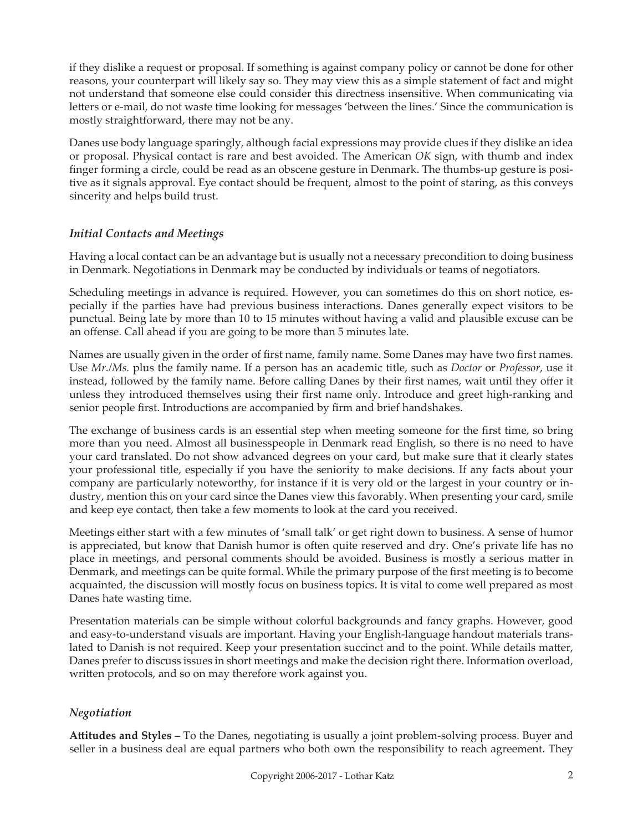if they dislike a request or proposal. If something is against company policy or cannot be done for other reasons, your counterpart will likely say so. They may view this as a simple statement of fact and might not understand that someone else could consider this directness insensitive. When communicating via letters or e-mail, do not waste time looking for messages 'between the lines.' Since the communication is mostly straightforward, there may not be any.

Danes use body language sparingly, although facial expressions may provide clues if they dislike an idea or proposal. Physical contact is rare and best avoided. The American *OK* sign, with thumb and index finger forming a circle, could be read as an obscene gesture in Denmark. The thumbs-up gesture is positive as it signals approval. Eye contact should be frequent, almost to the point of staring, as this conveys sincerity and helps build trust.

## *Initial Contacts and Meetings*

Having a local contact can be an advantage but is usually not a necessary precondition to doing business in Denmark. Negotiations in Denmark may be conducted by individuals or teams of negotiators.

Scheduling meetings in advance is required. However, you can sometimes do this on short notice, especially if the parties have had previous business interactions. Danes generally expect visitors to be punctual. Being late by more than 10 to 15 minutes without having a valid and plausible excuse can be an offense. Call ahead if you are going to be more than 5 minutes late.

Names are usually given in the order of first name, family name. Some Danes may have two first names. Use *Mr./Ms.* plus the family name. If a person has an academic title, such as *Doctor* or *Professor*, use it instead, followed by the family name. Before calling Danes by their first names, wait until they offer it unless they introduced themselves using their first name only. Introduce and greet high-ranking and senior people first. Introductions are accompanied by firm and brief handshakes.

The exchange of business cards is an essential step when meeting someone for the first time, so bring more than you need. Almost all businesspeople in Denmark read English, so there is no need to have your card translated. Do not show advanced degrees on your card, but make sure that it clearly states your professional title, especially if you have the seniority to make decisions. If any facts about your company are particularly noteworthy, for instance if it is very old or the largest in your country or industry, mention this on your card since the Danes view this favorably. When presenting your card, smile and keep eye contact, then take a few moments to look at the card you received.

Meetings either start with a few minutes of 'small talk' or get right down to business. A sense of humor is appreciated, but know that Danish humor is often quite reserved and dry. One's private life has no place in meetings, and personal comments should be avoided. Business is mostly a serious matter in Denmark, and meetings can be quite formal. While the primary purpose of the first meeting is to become acquainted, the discussion will mostly focus on business topics. It is vital to come well prepared as most Danes hate wasting time.

Presentation materials can be simple without colorful backgrounds and fancy graphs. However, good and easy-to-understand visuals are important. Having your English-language handout materials translated to Danish is not required. Keep your presentation succinct and to the point. While details matter, Danes prefer to discuss issues in short meetings and make the decision right there. Information overload, written protocols, and so on may therefore work against you.

## *Negotiation*

**Attitudes and Styles –** To the Danes, negotiating is usually a joint problem-solving process. Buyer and seller in a business deal are equal partners who both own the responsibility to reach agreement. They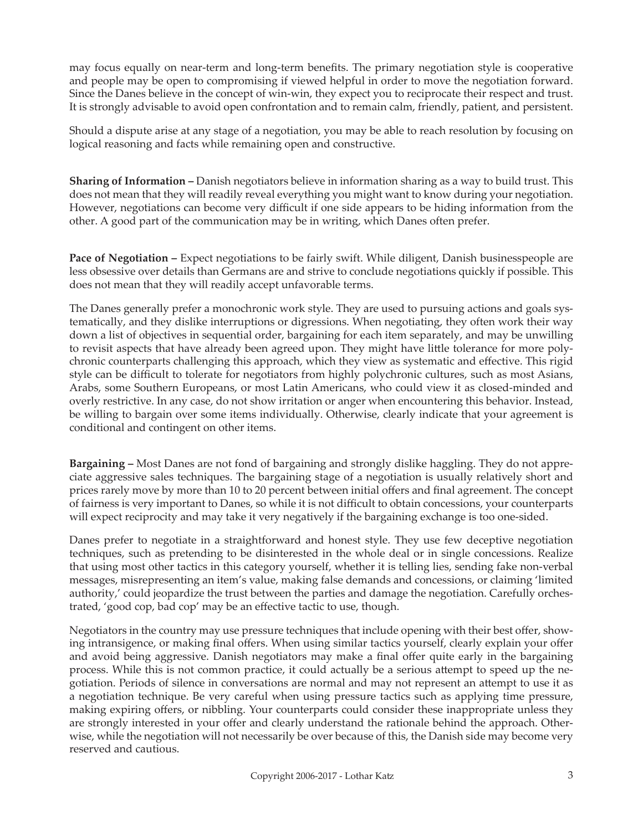may focus equally on near-term and long-term benefits. The primary negotiation style is cooperative and people may be open to compromising if viewed helpful in order to move the negotiation forward. Since the Danes believe in the concept of win-win, they expect you to reciprocate their respect and trust. It is strongly advisable to avoid open confrontation and to remain calm, friendly, patient, and persistent.

Should a dispute arise at any stage of a negotiation, you may be able to reach resolution by focusing on logical reasoning and facts while remaining open and constructive.

**Sharing of Information –** Danish negotiators believe in information sharing as a way to build trust. This does not mean that they will readily reveal everything you might want to know during your negotiation. However, negotiations can become very difficult if one side appears to be hiding information from the other. A good part of the communication may be in writing, which Danes often prefer.

Pace of Negotiation - Expect negotiations to be fairly swift. While diligent, Danish businesspeople are less obsessive over details than Germans are and strive to conclude negotiations quickly if possible. This does not mean that they will readily accept unfavorable terms.

The Danes generally prefer a monochronic work style. They are used to pursuing actions and goals systematically, and they dislike interruptions or digressions. When negotiating, they often work their way down a list of objectives in sequential order, bargaining for each item separately, and may be unwilling to revisit aspects that have already been agreed upon. They might have little tolerance for more polychronic counterparts challenging this approach, which they view as systematic and effective. This rigid style can be difficult to tolerate for negotiators from highly polychronic cultures, such as most Asians, Arabs, some Southern Europeans, or most Latin Americans, who could view it as closed-minded and overly restrictive. In any case, do not show irritation or anger when encountering this behavior. Instead, be willing to bargain over some items individually. Otherwise, clearly indicate that your agreement is conditional and contingent on other items.

**Bargaining –** Most Danes are not fond of bargaining and strongly dislike haggling. They do not appreciate aggressive sales techniques. The bargaining stage of a negotiation is usually relatively short and prices rarely move by more than 10 to 20 percent between initial offers and final agreement. The concept of fairness is very important to Danes, so while it is not difficult to obtain concessions, your counterparts will expect reciprocity and may take it very negatively if the bargaining exchange is too one-sided.

Danes prefer to negotiate in a straightforward and honest style. They use few deceptive negotiation techniques, such as pretending to be disinterested in the whole deal or in single concessions. Realize that using most other tactics in this category yourself, whether it is telling lies, sending fake non-verbal messages, misrepresenting an item's value, making false demands and concessions, or claiming 'limited authority,' could jeopardize the trust between the parties and damage the negotiation. Carefully orchestrated, 'good cop, bad cop' may be an effective tactic to use, though.

Negotiators in the country may use pressure techniques that include opening with their best offer, showing intransigence, or making final offers. When using similar tactics yourself, clearly explain your offer and avoid being aggressive. Danish negotiators may make a final offer quite early in the bargaining process. While this is not common practice, it could actually be a serious attempt to speed up the negotiation. Periods of silence in conversations are normal and may not represent an attempt to use it as a negotiation technique. Be very careful when using pressure tactics such as applying time pressure, making expiring offers, or nibbling. Your counterparts could consider these inappropriate unless they are strongly interested in your offer and clearly understand the rationale behind the approach. Otherwise, while the negotiation will not necessarily be over because of this, the Danish side may become very reserved and cautious.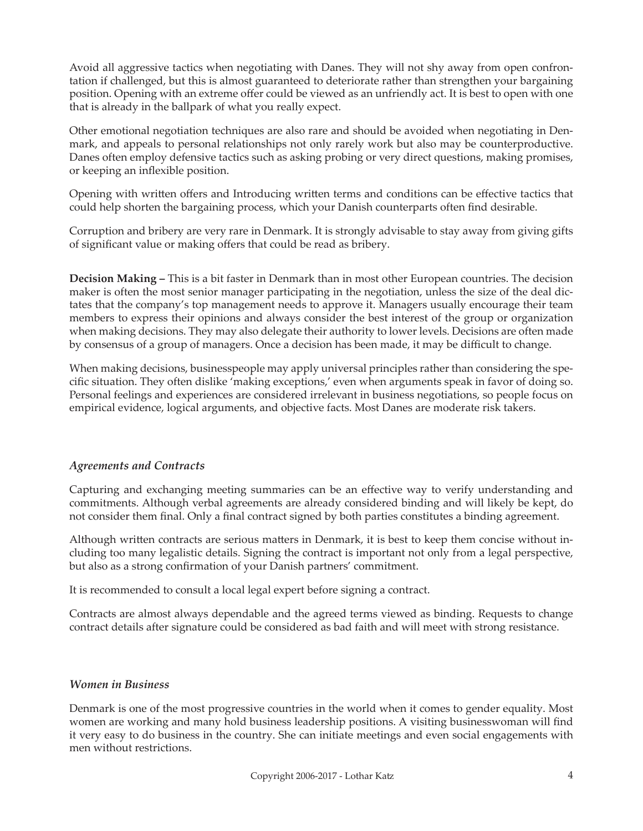Avoid all aggressive tactics when negotiating with Danes. They will not shy away from open confrontation if challenged, but this is almost guaranteed to deteriorate rather than strengthen your bargaining position. Opening with an extreme offer could be viewed as an unfriendly act. It is best to open with one that is already in the ballpark of what you really expect.

Other emotional negotiation techniques are also rare and should be avoided when negotiating in Denmark, and appeals to personal relationships not only rarely work but also may be counterproductive. Danes often employ defensive tactics such as asking probing or very direct questions, making promises, or keeping an inflexible position.

Opening with written offers and Introducing written terms and conditions can be effective tactics that could help shorten the bargaining process, which your Danish counterparts often find desirable.

Corruption and bribery are very rare in Denmark. It is strongly advisable to stay away from giving gifts of significant value or making offers that could be read as bribery.

**Decision Making –** This is a bit faster in Denmark than in most other European countries. The decision maker is often the most senior manager participating in the negotiation, unless the size of the deal dictates that the company's top management needs to approve it. Managers usually encourage their team members to express their opinions and always consider the best interest of the group or organization when making decisions. They may also delegate their authority to lower levels. Decisions are often made by consensus of a group of managers. Once a decision has been made, it may be difficult to change.

When making decisions, businesspeople may apply universal principles rather than considering the specific situation. They often dislike 'making exceptions,' even when arguments speak in favor of doing so. Personal feelings and experiences are considered irrelevant in business negotiations, so people focus on empirical evidence, logical arguments, and objective facts. Most Danes are moderate risk takers.

## *Agreements and Contracts*

Capturing and exchanging meeting summaries can be an effective way to verify understanding and commitments. Although verbal agreements are already considered binding and will likely be kept, do not consider them final. Only a final contract signed by both parties constitutes a binding agreement.

Although written contracts are serious matters in Denmark, it is best to keep them concise without including too many legalistic details. Signing the contract is important not only from a legal perspective, but also as a strong confirmation of your Danish partners' commitment.

It is recommended to consult a local legal expert before signing a contract.

Contracts are almost always dependable and the agreed terms viewed as binding. Requests to change contract details after signature could be considered as bad faith and will meet with strong resistance.

### *Women in Business*

Denmark is one of the most progressive countries in the world when it comes to gender equality. Most women are working and many hold business leadership positions. A visiting businesswoman will find it very easy to do business in the country. She can initiate meetings and even social engagements with men without restrictions.